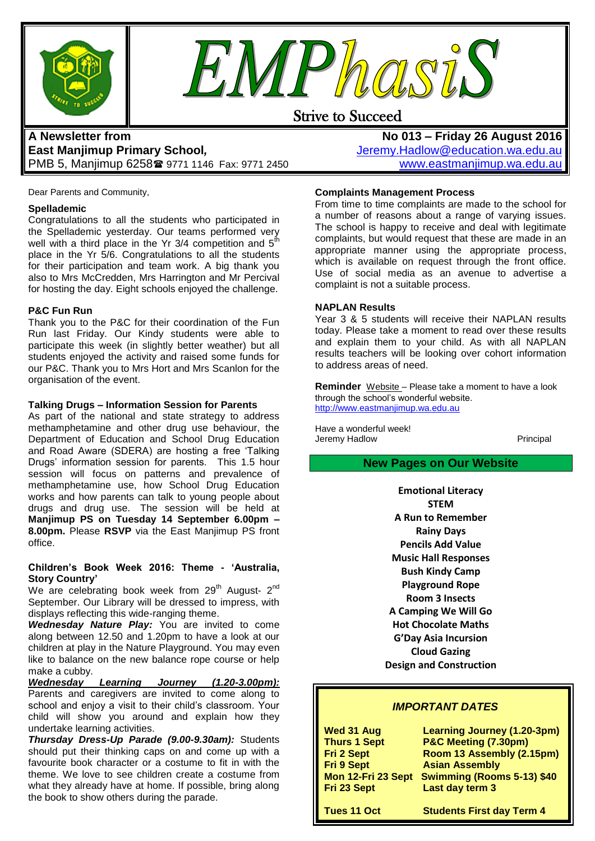



# Strive to Succeed

# **A Newsletter from East Manjimup Primary School***,*  PMB 5, Manjimup 6258 9771 1146 Fax: 9771 2450

**No 013 – Friday 26 August 2016** [Jeremy.Hadlow@education.wa.edu.au](mailto:Jeremy.Hadlow@education.wa.edu.au) [www.eastmanjimup.wa.edu.au](http://www.eastmanjimup.wa.edu.au/)

Dear Parents and Community,

#### **Spellademic**

Congratulations to all the students who participated in the Spellademic yesterday. Our teams performed very well with a third place in the Yr 3/4 competition and  $5<sup>fh</sup>$ place in the Yr 5/6. Congratulations to all the students for their participation and team work. A big thank you also to Mrs McCredden, Mrs Harrington and Mr Percival for hosting the day. Eight schools enjoyed the challenge.

#### **P&C Fun Run**

Thank you to the P&C for their coordination of the Fun Run last Friday. Our Kindy students were able to participate this week (in slightly better weather) but all students enjoyed the activity and raised some funds for our P&C. Thank you to Mrs Hort and Mrs Scanlon for the organisation of the event.

#### **Talking Drugs – Information Session for Parents**

As part of the national and state strategy to address methamphetamine and other drug use behaviour, the Department of Education and School Drug Education and Road Aware (SDERA) are hosting a free 'Talking Drugs' information session for parents. This 1.5 hour session will focus on patterns and prevalence of methamphetamine use, how School Drug Education works and how parents can talk to young people about drugs and drug use. The session will be held at **Manjimup PS on Tuesday 14 September 6.00pm – 8.00pm.** Please **RSVP** via the East Manjimup PS front office.

#### **Children's Book Week 2016: Theme - 'Australia, Story Country'**

We are celebrating book week from 29<sup>th</sup> August-  $2^{nd}$ September. Our Library will be dressed to impress, with displays reflecting this wide-ranging theme.

*Wednesday Nature Play:* You are invited to come along between 12.50 and 1.20pm to have a look at our children at play in the Nature Playground. You may even like to balance on the new balance rope course or help make a cubby.

*Wednesday Learning Journey (1.20-3.00pm):* Parents and caregivers are invited to come along to school and enjoy a visit to their child's classroom. Your child will show you around and explain how they undertake learning activities.

*Thursday Dress-Up Parade (9.00-9.30am):* Students should put their thinking caps on and come up with a favourite book character or a costume to fit in with the theme. We love to see children create a costume from what they already have at home. If possible, bring along the book to show others during the parade.

#### **Complaints Management Process**

From time to time complaints are made to the school for a number of reasons about a range of varying issues. The school is happy to receive and deal with legitimate complaints, but would request that these are made in an appropriate manner using the appropriate process, which is available on request through the front office. Use of social media as an avenue to advertise a complaint is not a suitable process.

#### **NAPLAN Results**

Year 3 & 5 students will receive their NAPLAN results today. Please take a moment to read over these results and explain them to your child. As with all NAPLAN results teachers will be looking over cohort information to address areas of need.

**Reminder** Website – Please take a moment to have a look through the school's wonderful website. [http://www.eastmanjimup.wa.edu.au](http://www.eastmanjimup.wa.edu.au/)

Have a wonderful week! Jeremy Hadlow **Principal** 

## **New Pages on Our Website**

**Emotional Literacy STEM A Run to Remember Rainy Days Pencils Add Value Music Hall Responses Bush Kindy Camp Playground Rope Room 3 Insects A Camping We Will Go Hot Chocolate Maths G'Day Asia Incursion Cloud Gazing Design and Construction**

#### *IMPORTANT DATES*

| Wed 31 Aug          | <b>Learning Journey (1.20-3pm)</b> |
|---------------------|------------------------------------|
| <b>Thurs 1 Sept</b> | P&C Meeting (7.30pm)               |
| Fri 2 Sept          | Room 13 Assembly (2.15pm)          |
| <b>Fri 9 Sept</b>   | <b>Asian Assembly</b>              |
| Mon 12-Fri 23 Sept  | <b>Swimming (Rooms 5-13) \$40</b>  |
| Fri 23 Sept         | Last day term 3                    |
|                     |                                    |
| Tues 11 Oct         | <b>Students First day Term 4</b>   |